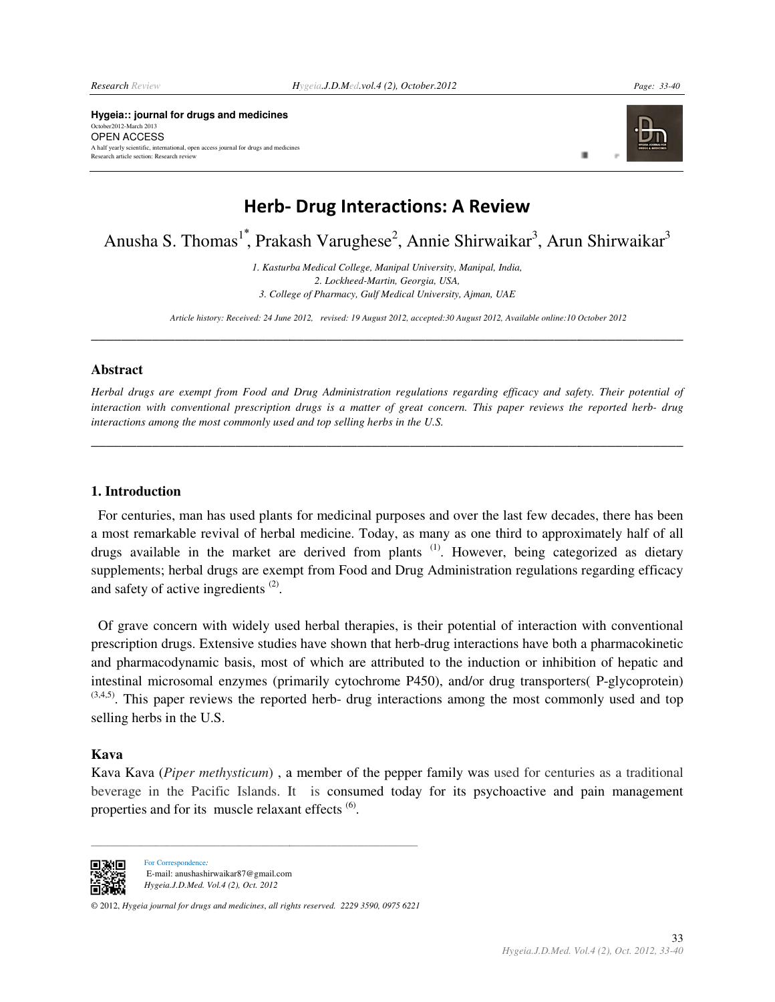*Page: 33-40* 

**Hygeia:: journal for drugs and medicines** October2012-March 2013 OPEN ACCESS A half yearly scientific, international, open access journal for drugs and medicines Research article section: Research review



ш

**\_\_\_\_\_\_\_\_\_\_\_\_\_\_\_\_\_\_\_\_**

# Herb- Drug Interactions: A Review

Anusha S. Thomas<sup>1</sup>, Prakash Varughese<sup>2</sup>, Annie Shirwaikar<sup>3</sup>, Arun Shirwaikar<sup>3</sup>

*1. Kasturba Medical College, Manipal University, Medical Manipal University, Manipal, India, 3. College of Pharmacy, Gulf Medical University, Ajman, UAE 2. Lockheed-Martin, Georgia, USA,* 

\_\_\_\_\_\_\_\_\_\_\_\_\_\_\_\_\_\_\_\_\_\_\_\_\_\_\_\_\_\_\_\_\_\_\_\_\_\_\_\_\_\_\_\_\_\_\_\_\_\_\_\_\_\_\_\_\_\_\_\_\_\_\_\_\_\_\_\_\_\_\_\_\_\_\_\_\_\_

*Article history: Received: 24 June 2012, revised: 2012, 19 August 2012, accepted:30 August 2012, Available online:10 October 2012 2012, Available online:10 October* 

#### **Abstract**

Herbal drugs are exempt from Food and Drug Administration regulations regarding efficacy and safety. Their potential of interaction with conventional prescription drugs is a matter of great concern. This paper reviews the reported herb- drug<br>interactions among the most commonly used and top selling herbs in the U.S. interactions among the most commonly used and top selling herbs in the U.S.

**\_\_\_\_\_\_\_\_\_\_\_\_\_\_\_\_\_\_\_\_\_\_\_\_\_\_\_\_\_\_\_\_\_\_\_\_\_\_\_\_\_\_\_\_\_\_\_\_\_\_\_\_\_\_\_\_\_\_\_\_\_\_\_\_\_\_\_\_\_\_\_\_\_\_\_\_\_\_**

**\_\_\_\_\_\_\_\_\_\_\_\_\_\_\_\_\_\_\_\_\_\_\_\_\_\_\_\_\_\_\_\_\_\_\_\_\_\_\_\_\_\_\_\_\_\_\_\_\_\_\_\_\_\_\_\_\_\_**

#### **1. Introduction**

 For centuries, man has used plants for medicinal purposes and over the last few decades, there has been a most remarkable revival of herbal medicine. Today, as many as one third to approximately half of all For centuries, man has used plants for medicinal purposes and over the last few decades, there has been a most remarkable revival of herbal medicine. Today, as many as one third to approximately half of all drugs available supplements; herbal drugs are exempt from Food and Drug Administration regulations regarding efficacy and safety of active ingredients<sup>(2)</sup>. supplements; herbal drugs are exempt from Food and Drug Administration regulations regarding efficacy<br>and safety of active ingredients<sup>(2)</sup>.<br>Of grave concern with widely used herbal therapies, is their potential of interac

prescription drugs. Extensive studies have shown that herb-drug interactions have both a pharmacokinetic and pharmacodynamic basis, most of which are attributed to the induction or inhibition of hepatic and intestinal microsomal enzymes (primarily cytochrome P450), and/or drug transporters( P  $(3,4,5)$ . This paper reviews the reported herb- drug interactions among the most commonly used and top selling herbs in the U.S. drug interactions have both a pharmacokinetic<br>to the induction or inhibition of hepatic and<br>50), and/or drug transporters( P-glycoprotein)

#### **Kava**

Kava Kava (Piper methysticum), a member of the pepper family was used for centuries as a traditional beverage in the Pacific Islands. It is consumed today for its psychoactive and pain management properties and for its muscle relaxant effects<sup>(6)</sup>.



For Correspondence*:*  E-mail: anushashirwaikar87@gmail.com *Hygeia.J.D.Med. Vol.4 (2), Oct. 2012* 

\_\_\_\_\_\_\_\_\_\_\_\_\_\_\_\_\_\_\_\_\_\_\_\_\_\_\_\_\_\_\_\_\_\_\_\_\_\_\_\_\_\_\_\_\_\_\_\_\_\_\_\_\_\_\_\_\_\_\_\_\_\_\_\_\_\_\_

© 2012, *Hygeia journal for drugs and medicines*, *all rights rights reserved. 2229 3590, 0975 6221* 

\_\_\_\_\_\_\_\_\_\_\_\_\_\_\_\_\_\_\_\_\_\_\_\_\_\_\_\_\_\_\_\_\_\_\_\_\_\_\_\_\_\_\_\_\_\_\_\_\_\_\_\_\_\_\_\_\_\_\_\_\_\_\_\_\_\_\_\_\_\_\_\_\_\_\_\_\_\_\_\_\_\_\_\_\_\_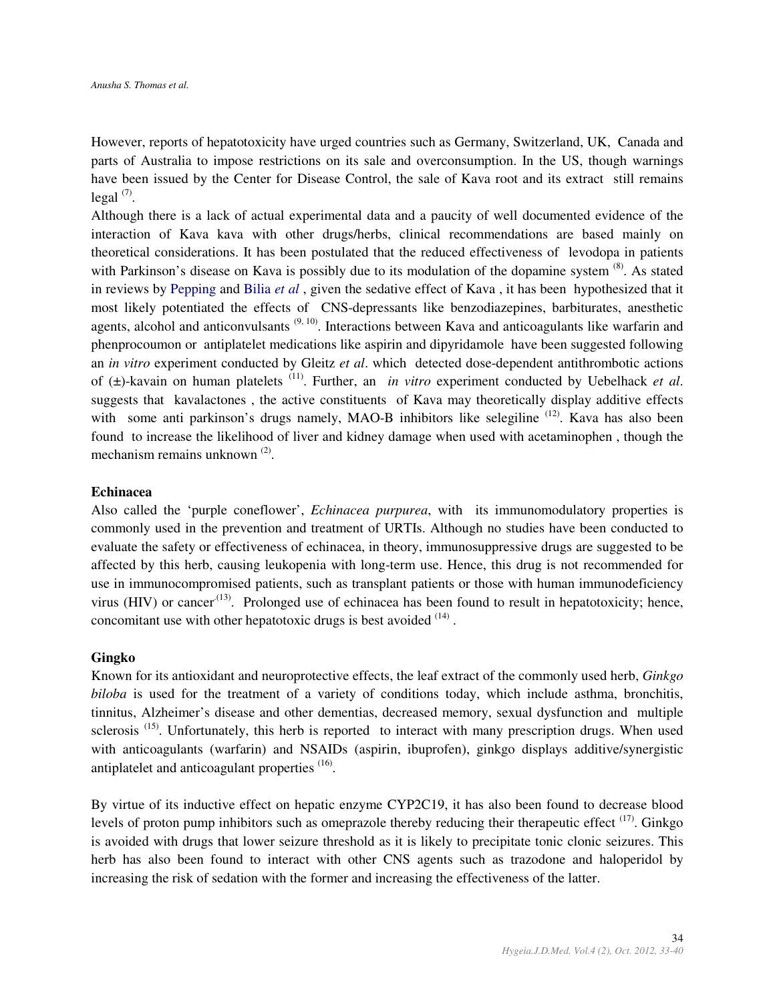However, reports of hepatotoxicity have urged countries such as Germany, Switzerland, UK, Canada and parts of Australia to impose restrictions on its sale and overconsumption. In the US, though warnings have been issued by the Center for Disease Control, the sale of Kava root and its extract still remains  $\text{legal } (7)$ .

Although there is a lack of actual experimental data and a paucity of well documented evidence of the interaction of Kava kava with other drugs/herbs, clinical recommendations are based mainly on theoretical considerations. It has been postulated that the reduced effectiveness of levodopa in patients with Parkinson's disease on Kava is possibly due to its modulation of the dopamine system  $^{(8)}$ . As stated in reviews by Pepping and Bilia *et al* , given the sedative effect of Kava , it has been hypothesized that it most likely potentiated the effects of CNS-depressants like benzodiazepines, barbiturates, anesthetic agents, alcohol and anticonvulsants  $(9, 10)$ . Interactions between Kava and anticoagulants like warfarin and phenprocoumon or antiplatelet medications like aspirin and dipyridamole have been suggested following an *in vitro* experiment conducted by Gleitz *et al*. which detected dose-dependent antithrombotic actions of (±)-kavain on human platelets (11). Further, an *in vitro* experiment conducted by Uebelhack *et al*. suggests that kavalactones , the active constituents of Kava may theoretically display additive effects with some anti parkinson's drugs namely, MAO-B inhibitors like selegiline <sup>(12)</sup>. Kava has also been found to increase the likelihood of liver and kidney damage when used with acetaminophen , though the mechanism remains unknown<sup>(2)</sup>.

#### **Echinacea**

Also called the 'purple coneflower', *Echinacea purpurea*, with its immunomodulatory properties is commonly used in the prevention and treatment of URTIs. Although no studies have been conducted to evaluate the safety or effectiveness of echinacea, in theory, immunosuppressive drugs are suggested to be affected by this herb, causing leukopenia with long-term use. Hence, this drug is not recommended for use in immunocompromised patients, such as transplant patients or those with human immunodeficiency virus (HIV) or cancer<sup> $(13)$ </sup>. Prolonged use of echinacea has been found to result in hepatotoxicity; hence, concomitant use with other hepatotoxic drugs is best avoided  $(14)$ .

#### **Gingko**

Known for its antioxidant and neuroprotective effects, the leaf extract of the commonly used herb, *Ginkgo biloba* is used for the treatment of a variety of conditions today, which include asthma, bronchitis, tinnitus, Alzheimer's disease and other dementias, decreased memory, sexual dysfunction and multiple sclerosis<sup>(15)</sup>. Unfortunately, this herb is reported to interact with many prescription drugs. When used with anticoagulants (warfarin) and NSAIDs (aspirin, ibuprofen), ginkgo displays additive/synergistic antiplatelet and anticoagulant properties <sup>(16)</sup>.

By virtue of its inductive effect on hepatic enzyme CYP2C19, it has also been found to decrease blood levels of proton pump inhibitors such as omeprazole thereby reducing their therapeutic effect  $(17)$ . Ginkgo is avoided with drugs that lower seizure threshold as it is likely to precipitate tonic clonic seizures. This herb has also been found to interact with other CNS agents such as trazodone and haloperidol by increasing the risk of sedation with the former and increasing the effectiveness of the latter.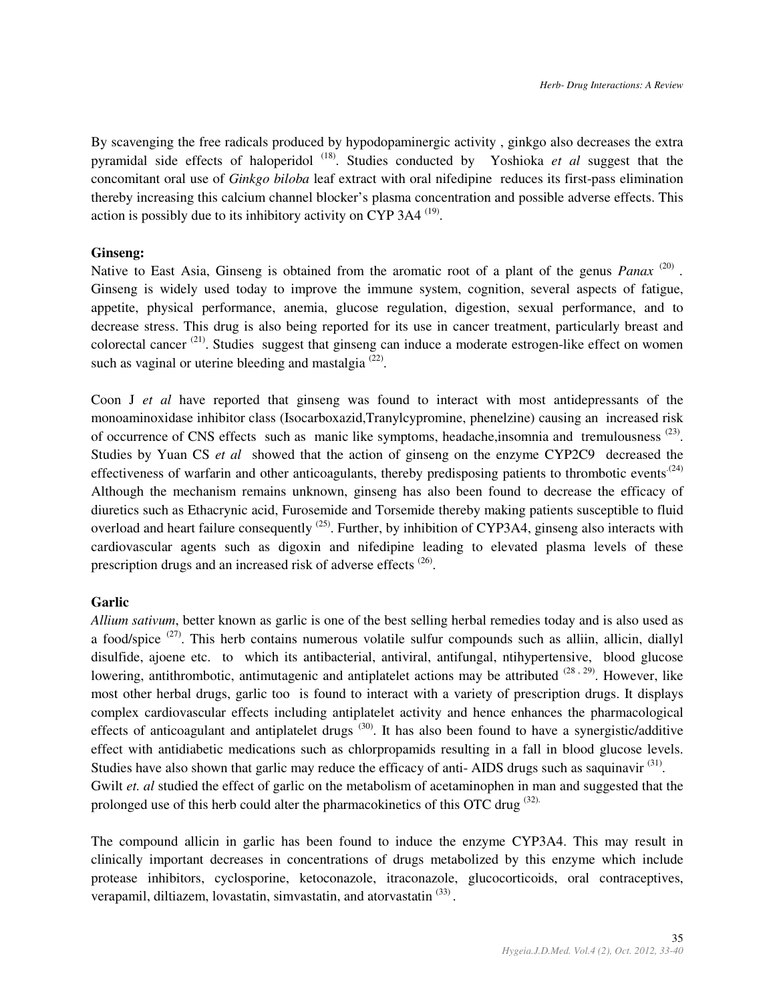By scavenging the free radicals produced by hypodopaminergic activity , ginkgo also decreases the extra pyramidal side effects of haloperidol (18). Studies conducted by Yoshioka *et al* suggest that the concomitant oral use of *Ginkgo biloba* leaf extract with oral nifedipine reduces its first-pass elimination thereby increasing this calcium channel blocker's plasma concentration and possible adverse effects. This action is possibly due to its inhibitory activity on CYP 3A4  $(19)$ .

### **Ginseng:**

Native to East Asia, Ginseng is obtained from the aromatic root of a plant of the genus *Panax*<sup>(20)</sup>. Ginseng is widely used today to improve the immune system, cognition, several aspects of fatigue, appetite, physical performance, anemia, glucose regulation, digestion, sexual performance, and to decrease stress. This drug is also being reported for its use in cancer treatment, particularly breast and colorectal cancer  $(21)$ . Studies suggest that ginseng can induce a moderate estrogen-like effect on women such as vaginal or uterine bleeding and mastalgia  $(22)$ .

Coon J *et al* have reported that ginseng was found to interact with most antidepressants of the monoaminoxidase inhibitor class (Isocarboxazid,Tranylcypromine, phenelzine) causing an increased risk of occurrence of CNS effects such as manic like symptoms, headache, insomnia and tremulousness  $(23)$ . Studies by Yuan CS *et al* showed that the action of ginseng on the enzyme CYP2C9 decreased the effectiveness of warfarin and other anticoagulants, thereby predisposing patients to thrombotic events<sup> $(24)$ </sup> Although the mechanism remains unknown, ginseng has also been found to decrease the efficacy of diuretics such as Ethacrynic acid, Furosemide and Torsemide thereby making patients susceptible to fluid overload and heart failure consequently <sup>(25)</sup>. Further, by inhibition of CYP3A4, ginseng also interacts with cardiovascular agents such as digoxin and nifedipine leading to elevated plasma levels of these prescription drugs and an increased risk of adverse effects<sup>(26)</sup>.

# **Garlic**

*Allium sativum*, better known as garlic is one of the best selling herbal remedies today and is also used as a food/spice (27). This herb contains numerous volatile sulfur compounds such as alliin, allicin, diallyl disulfide, ajoene etc. to which its antibacterial, antiviral, antifungal, ntihypertensive, blood glucose lowering, antithrombotic, antimutagenic and antiplatelet actions may be attributed <sup>(28,29)</sup>. However, like most other herbal drugs, garlic too is found to interact with a variety of prescription drugs. It displays complex cardiovascular effects including antiplatelet activity and hence enhances the pharmacological effects of anticoagulant and antiplatelet drugs  $(30)$ . It has also been found to have a synergistic/additive effect with antidiabetic medications such as chlorpropamids resulting in a fall in blood glucose levels. Studies have also shown that garlic may reduce the efficacy of anti-AIDS drugs such as saquinavir<sup>(31)</sup>. Gwilt *et. al* studied the effect of garlic on the metabolism of acetaminophen in man and suggested that the prolonged use of this herb could alter the pharmacokinetics of this OTC drug  $(32)$ .

The compound allicin in garlic has been found to induce the enzyme CYP3A4. This may result in clinically important decreases in concentrations of drugs metabolized by this enzyme which include protease inhibitors, cyclosporine, ketoconazole, itraconazole, glucocorticoids, oral contraceptives, verapamil, diltiazem, lovastatin, simvastatin, and atorvastatin<sup>(33)</sup>.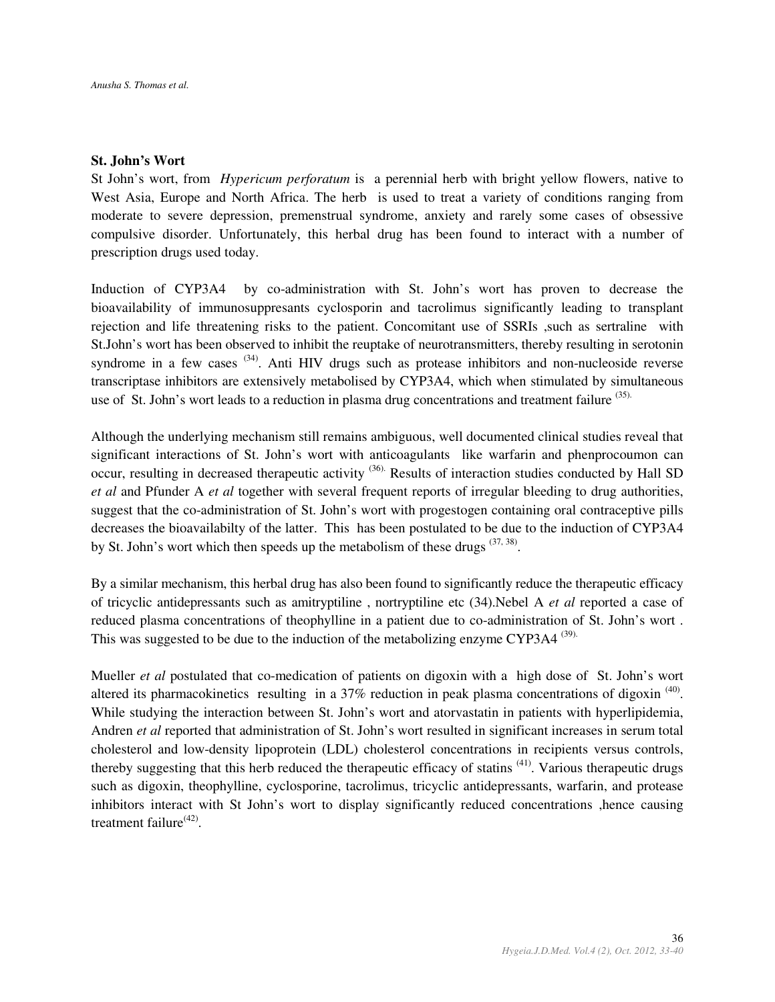#### **St. John's Wort**

St John's wort, from *Hypericum perforatum* is a perennial herb with bright yellow flowers, native to West Asia, Europe and North Africa. The herb is used to treat a variety of conditions ranging from moderate to severe depression, premenstrual syndrome, anxiety and rarely some cases of obsessive compulsive disorder. Unfortunately, this herbal drug has been found to interact with a number of prescription drugs used today.

Induction of CYP3A4 by co-administration with St. John's wort has proven to decrease the bioavailability of immunosuppresants cyclosporin and tacrolimus significantly leading to transplant rejection and life threatening risks to the patient. Concomitant use of SSRIs ,such as sertraline with St.John's wort has been observed to inhibit the reuptake of neurotransmitters, thereby resulting in serotonin syndrome in a few cases  $(34)$ . Anti HIV drugs such as protease inhibitors and non-nucleoside reverse transcriptase inhibitors are extensively metabolised by CYP3A4, which when stimulated by simultaneous use of St. John's wort leads to a reduction in plasma drug concentrations and treatment failure (35).

Although the underlying mechanism still remains ambiguous, well documented clinical studies reveal that significant interactions of St. John's wort with anticoagulants like warfarin and phenprocoumon can occur, resulting in decreased therapeutic activity <sup>(36)</sup>. Results of interaction studies conducted by Hall SD *et al* and Pfunder A *et al* together with several frequent reports of irregular bleeding to drug authorities, suggest that the co-administration of St. John's wort with progestogen containing oral contraceptive pills decreases the bioavailabilty of the latter. This has been postulated to be due to the induction of CYP3A4 by St. John's wort which then speeds up the metabolism of these drugs  $(37, 38)$ .

By a similar mechanism, this herbal drug has also been found to significantly reduce the therapeutic efficacy of tricyclic antidepressants such as amitryptiline , nortryptiline etc (34).Nebel A *et al* reported a case of reduced plasma concentrations of theophylline in a patient due to co-administration of St. John's wort . This was suggested to be due to the induction of the metabolizing enzyme CYP3A4  $^{(39)}$ .

Mueller *et al* postulated that co-medication of patients on digoxin with a high dose of St. John's wort altered its pharmacokinetics resulting in a  $37\%$  reduction in peak plasma concentrations of digoxin<sup>(40)</sup>. While studying the interaction between St. John's wort and atorvastatin in patients with hyperlipidemia, Andren *et al* reported that administration of St. John's wort resulted in significant increases in serum total cholesterol and low-density lipoprotein (LDL) cholesterol concentrations in recipients versus controls, thereby suggesting that this herb reduced the therapeutic efficacy of statins <sup>(41)</sup>. Various therapeutic drugs such as digoxin, theophylline, cyclosporine, tacrolimus, tricyclic antidepressants, warfarin, and protease inhibitors interact with St John's wort to display significantly reduced concentrations ,hence causing treatment failure<sup>(42)</sup>.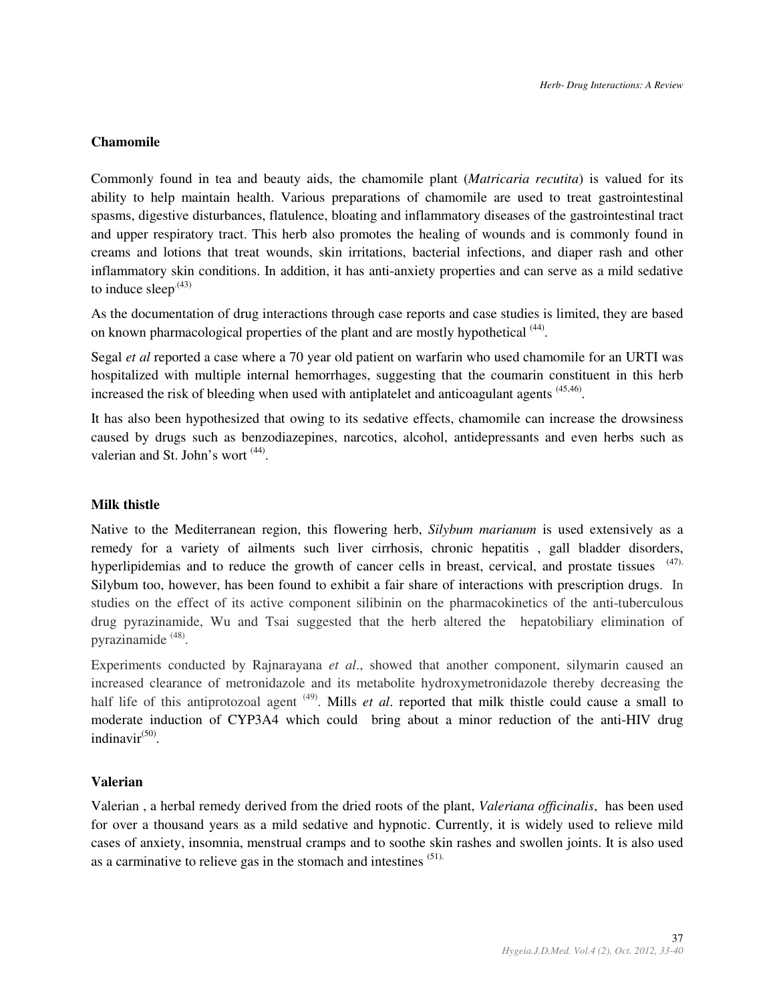# **Chamomile**

Commonly found in tea and beauty aids, the chamomile plant (*Matricaria recutita*) is valued for its ability to help maintain health. Various preparations of chamomile are used to treat gastrointestinal spasms, digestive disturbances, flatulence, bloating and inflammatory diseases of the gastrointestinal tract and upper respiratory tract. This herb also promotes the healing of wounds and is commonly found in creams and lotions that treat wounds, skin irritations, bacterial infections, and diaper rash and other inflammatory skin conditions. In addition, it has anti-anxiety properties and can serve as a mild sedative to induce sleep<sup> $(43)$ </sup>

As the documentation of drug interactions through case reports and case studies is limited, they are based on known pharmacological properties of the plant and are mostly hypothetical <sup>(44)</sup>.

Segal *et al* reported a case where a 70 year old patient on warfarin who used chamomile for an URTI was hospitalized with multiple internal hemorrhages, suggesting that the coumarin constituent in this herb increased the risk of bleeding when used with antiplatelet and anticoagulant agents <sup>(45,46)</sup>.

It has also been hypothesized that owing to its sedative effects, chamomile can increase the drowsiness caused by drugs such as benzodiazepines, narcotics, alcohol, antidepressants and even herbs such as valerian and St. John's wort <sup>(44)</sup>.

# **Milk thistle**

Native to the Mediterranean region, this flowering herb, *Silybum marianum* is used extensively as a remedy for a variety of ailments such liver cirrhosis, chronic hepatitis , gall bladder disorders, hyperlipidemias and to reduce the growth of cancer cells in breast, cervical, and prostate tissues (47). Silybum too, however, has been found to exhibit a fair share of interactions with prescription drugs. In studies on the effect of its active component silibinin on the pharmacokinetics of the anti-tuberculous drug pyrazinamide, Wu and Tsai suggested that the herb altered the hepatobiliary elimination of pyrazinamide<sup>(48)</sup>.

Experiments conducted by Rajnarayana *et al*., showed that another component, silymarin caused an increased clearance of metronidazole and its metabolite hydroxymetronidazole thereby decreasing the half life of this antiprotozoal agent <sup>(49)</sup>. Mills *et al*. reported that milk thistle could cause a small to moderate induction of CYP3A4 which could bring about a minor reduction of the anti-HIV drug indinavir<sup>(50)</sup>.

#### **Valerian**

Valerian , a herbal remedy derived from the dried roots of the plant, *Valeriana officinalis*, has been used for over a thousand years as a mild sedative and hypnotic. Currently, it is widely used to relieve mild cases of anxiety, insomnia, menstrual cramps and to soothe skin rashes and swollen joints. It is also used as a carminative to relieve gas in the stomach and intestines (51).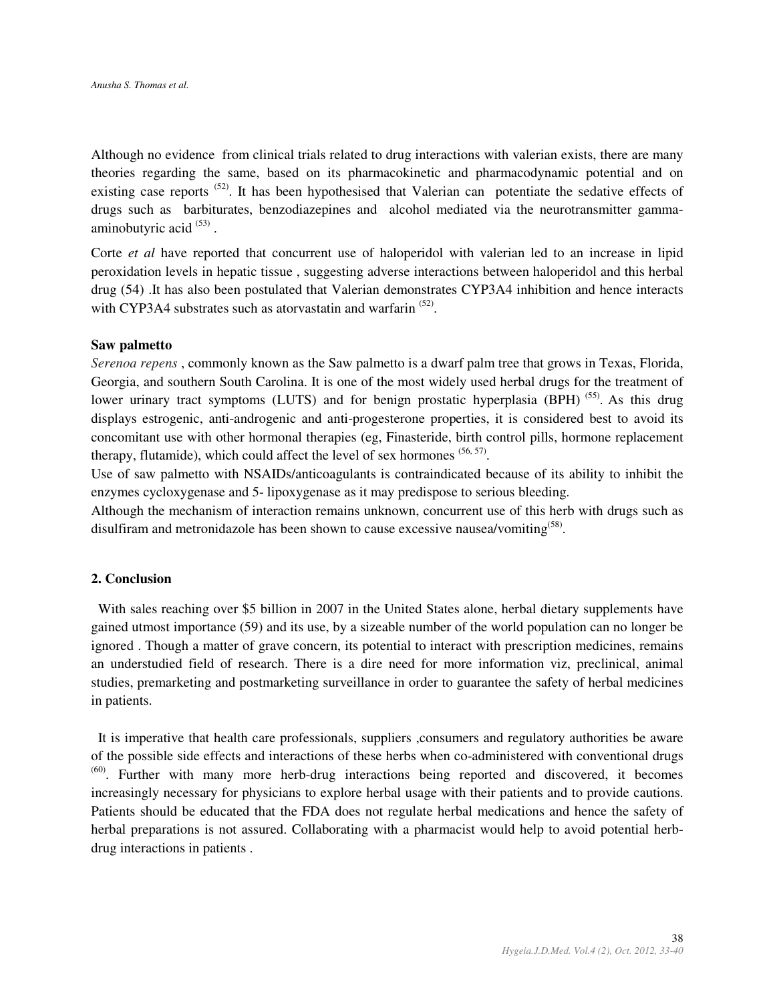Although no evidence from clinical trials related to drug interactions with valerian exists, there are many theories regarding the same, based on its pharmacokinetic and pharmacodynamic potential and on existing case reports <sup>(52)</sup>. It has been hypothesised that Valerian can potentiate the sedative effects of drugs such as barbiturates, benzodiazepines and alcohol mediated via the neurotransmitter gammaaminobutyric acid<sup>(53)</sup>.

Corte *et al* have reported that concurrent use of haloperidol with valerian led to an increase in lipid peroxidation levels in hepatic tissue , suggesting adverse interactions between haloperidol and this herbal drug (54) .It has also been postulated that Valerian demonstrates CYP3A4 inhibition and hence interacts with CYP3A4 substrates such as atorvastatin and warfarin  $(52)$ .

#### **Saw palmetto**

*Serenoa repens* , commonly known as the Saw palmetto is a dwarf palm tree that grows in Texas, Florida, Georgia, and southern South Carolina. It is one of the most widely used herbal drugs for the treatment of lower urinary tract symptoms (LUTS) and for benign prostatic hyperplasia (BPH)<sup>(55)</sup>. As this drug displays estrogenic, anti-androgenic and anti-progesterone properties, it is considered best to avoid its concomitant use with other hormonal therapies (eg, Finasteride, birth control pills, hormone replacement therapy, flutamide), which could affect the level of sex hormones  $(56, 57)$ .

Use of saw palmetto with NSAIDs/anticoagulants is contraindicated because of its ability to inhibit the enzymes cycloxygenase and 5- lipoxygenase as it may predispose to serious bleeding.

Although the mechanism of interaction remains unknown, concurrent use of this herb with drugs such as disulfiram and metronidazole has been shown to cause excessive nausea/vomiting<sup> $(58)$ </sup>.

# **2. Conclusion**

 With sales reaching over \$5 billion in 2007 in the United States alone, herbal dietary supplements have gained utmost importance (59) and its use, by a sizeable number of the world population can no longer be ignored . Though a matter of grave concern, its potential to interact with prescription medicines, remains an understudied field of research. There is a dire need for more information viz, preclinical, animal studies, premarketing and postmarketing surveillance in order to guarantee the safety of herbal medicines in patients.

 It is imperative that health care professionals, suppliers ,consumers and regulatory authorities be aware of the possible side effects and interactions of these herbs when co-administered with conventional drugs  $<sup>(60)</sup>$ . Further with many more herb-drug interactions being reported and discovered, it becomes</sup> increasingly necessary for physicians to explore herbal usage with their patients and to provide cautions. Patients should be educated that the FDA does not regulate herbal medications and hence the safety of herbal preparations is not assured. Collaborating with a pharmacist would help to avoid potential herbdrug interactions in patients .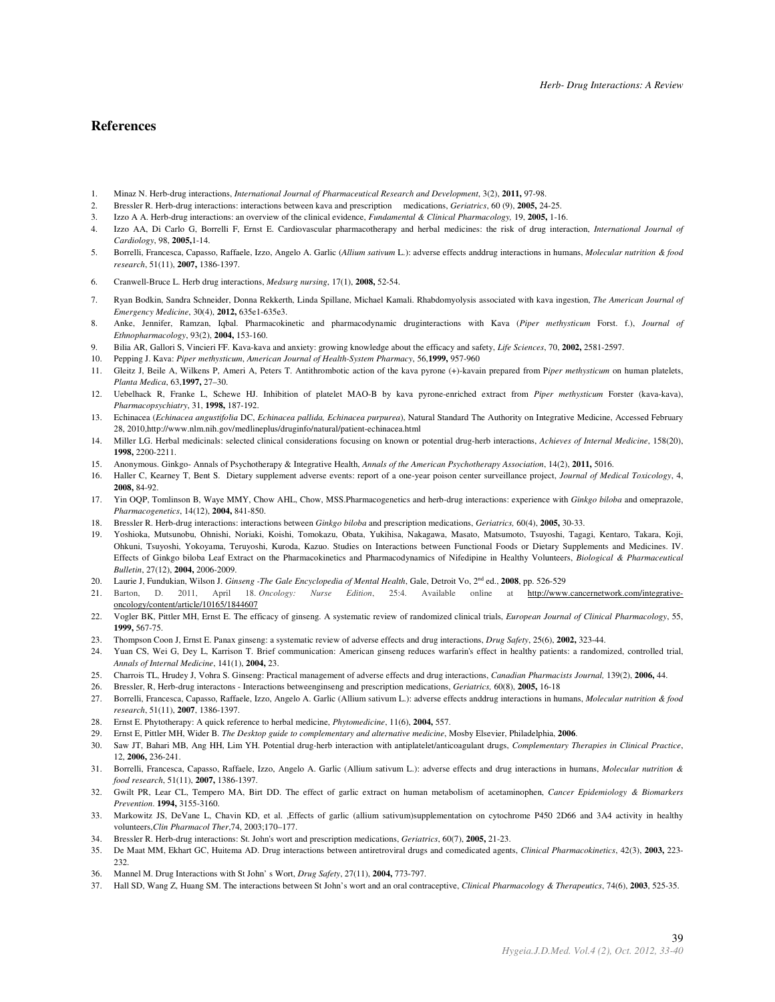#### **References**

- 1. Minaz N. Herb-drug interactions, *International Journal of Pharmaceutical Research and Development*, 3(2), **2011,** 97-98.
- 2. Bressler R. Herb-drug interactions: interactions between kava and prescription medications, *Geriatrics*, 60 (9), **2005,** 24-25.
- 3. Izzo A A. Herb-drug interactions: an overview of the clinical evidence, *Fundamental & Clinical Pharmacology,* 19, **2005,** 1-16.
- 4. Izzo AA, Di Carlo G, Borrelli F, Ernst E. Cardiovascular pharmacotherapy and herbal medicines: the risk of drug interaction, *International Journal of Cardiology*, 98, **2005,**1-14.
- 5. Borrelli, Francesca, Capasso, Raffaele, Izzo, Angelo A. Garlic (*Allium sativum* L.): adverse effects anddrug interactions in humans, *Molecular nutrition & food research*, 51(11), **2007,** 1386-1397.
- 6. Cranwell-Bruce L. Herb drug interactions, *Medsurg nursing*, 17(1), **2008,** 52-54.
- 7. Ryan Bodkin, Sandra Schneider, Donna Rekkerth, Linda Spillane, Michael Kamali. Rhabdomyolysis associated with kava ingestion, *The American Journal of Emergency Medicine*, 30(4), **2012,** 635e1-635e3.
- 8. Anke, Jennifer, Ramzan, Iqbal. Pharmacokinetic and pharmacodynamic druginteractions with Kava (*Piper methysticum* Forst. f.), *Journal of Ethnopharmacology*, 93(2), **2004,** 153-160.
- 9. Bilia AR, Gallori S, Vincieri FF. Kava-kava and anxiety: growing knowledge about the efficacy and safety, *Life Sciences*, 70, **2002,** 2581-2597.
- 10. Pepping J. Kava: *Piper methysticum*, *American Journal of Health-System Pharmacy*, 56,**1999,** 957-960
- 11. Gleitz J, Beile A, Wilkens P, Ameri A, Peters T. Antithrombotic action of the kava pyrone (+)-kavain prepared from P*iper methysticum* on human platelets, *Planta Medica*, 63,**1997,** 27–30.
- 12. Uebelhack R, Franke L, Schewe HJ. Inhibition of platelet MAO-B by kava pyrone-enriched extract from *Piper methysticum* Forster (kava-kava), *Pharmacopsychiatry*, 31, **1998,** 187-192.
- 13. Echinacea (*Echinacea angustifolia* DC, *Echinacea pallida, Echinacea purpurea*), Natural Standard The Authority on Integrative Medicine, Accessed February 28, 2010,http://www.nlm.nih.gov/medlineplus/druginfo/natural/patient-echinacea.html
- 14. Miller LG. Herbal medicinals: selected clinical considerations focusing on known or potential drug-herb interactions, *Achieves of Internal Medicine*, 158(20), **1998,** 2200-2211.
- 15. Anonymous. Ginkgo- Annals of Psychotherapy & Integrative Health, *Annals of the American Psychotherapy Association*, 14(2), **2011,** 5016.
- 16. Haller C, Kearney T, Bent S. Dietary supplement adverse events: report of a one-year poison center surveillance project, *Journal of Medical Toxicology*, 4, **2008,** 84-92.
- 17. Yin OQP, Tomlinson B, Waye MMY, Chow AHL, Chow, MSS.Pharmacogenetics and herb-drug interactions: experience with *Ginkgo biloba* and omeprazole, *Pharmacogenetics*, 14(12), **2004,** 841-850.
- 18. Bressler R. Herb-drug interactions: interactions between *Ginkgo biloba* and prescription medications, *Geriatrics,* 60(4), **2005,** 30-33.
- 19. Yoshioka, Mutsunobu, Ohnishi, Noriaki, Koishi, Tomokazu, Obata, Yukihisa, Nakagawa, Masato, Matsumoto, Tsuyoshi, Tagagi, Kentaro, Takara, Koji, Ohkuni, Tsuyoshi, Yokoyama, Teruyoshi, Kuroda, Kazuo. Studies on Interactions between Functional Foods or Dietary Supplements and Medicines. IV. Effects of Ginkgo biloba Leaf Extract on the Pharmacokinetics and Pharmacodynamics of Nifedipine in Healthy Volunteers, *Biological & Pharmaceutical Bulletin*, 27(12), **2004,** 2006-2009.
- 20. Laurie J, Fundukian, Wilson J. *Ginseng -The Gale Encyclopedia of Mental Health*, Gale, Detroit Vo, 2nd ed., **2008**, pp. 526-529
- 21. Barton, D. 2011, April 18. *Oncology: Nurse Edition*, 25:4. Available online at http://www.cancernetwork.com/integrativeoncology/content/article/10165/1844607
- 22. Vogler BK, Pittler MH, Ernst E. The efficacy of ginseng. A systematic review of randomized clinical trials, *European Journal of Clinical Pharmacology*, 55, **1999,** 567-75.
- 23. Thompson Coon J, Ernst E. Panax ginseng: a systematic review of adverse effects and drug interactions, *Drug Safety*, 25(6), **2002,** 323-44.
- 24. Yuan CS, Wei G, Dey L, Karrison T. Brief communication: American ginseng reduces warfarin's effect in healthy patients: a randomized, controlled trial, *Annals of Internal Medicine*, 141(1), **2004,** 23.
- 25. Charrois TL, Hrudey J, Vohra S. Ginseng: Practical management of adverse effects and drug interactions, *Canadian Pharmacists Journal,* 139(2), **2006,** 44.
- 26. Bressler, R, Herb-drug interactons Interactions betweenginseng and prescription medications, *Geriatrics,* 60(8), **2005,** 16-18
- 27. Borrelli, Francesca, Capasso, Raffaele, Izzo, Angelo A. Garlic (Allium sativum L.): adverse effects anddrug interactions in humans, *Molecular nutrition & food research*, 51(11), **2007**, 1386-1397.
- 28. Ernst E. Phytotherapy: A quick reference to herbal medicine, *Phytomedicine*, 11(6), **2004,** 557.
- 29. Ernst E, Pittler MH, Wider B. *The Desktop guide to complementary and alternative medicine*, Mosby Elsevier, Philadelphia, **2006**.
- 30. Saw JT, Bahari MB, Ang HH, Lim YH. Potential drug-herb interaction with antiplatelet/anticoagulant drugs, *Complementary Therapies in Clinical Practice*, 12, **2006,** 236-241.
- 31. Borrelli, Francesca, Capasso, Raffaele, Izzo, Angelo A. Garlic (Allium sativum L.): adverse effects and drug interactions in humans, *Molecular nutrition & food research*, 51(11), **2007,** 1386-1397.
- 32. Gwilt PR, Lear CL, Tempero MA, Birt DD. The effect of garlic extract on human metabolism of acetaminophen, *Cancer Epidemiology & Biomarkers Prevention*. **1994,** 3155-3160.
- 33. Markowitz JS, DeVane L, Chavin KD, et al. ,Effects of garlic (allium sativum)supplementation on cytochrome P450 2D66 and 3A4 activity in healthy volunteers,*Clin Pharmacol Ther*,74, 2003;170–177.
- 34. Bressler R. Herb-drug interactions: St. John's wort and prescription medications, *Geriatrics*, 60(7), **2005,** 21-23.
- 35. De Maat MM, Ekhart GC, Huitema AD. Drug interactions between antiretroviral drugs and comedicated agents, *Clinical Pharmacokinetics*, 42(3), **2003,** 223- 232.
- 36. Mannel M. Drug Interactions with St John' s Wort, *Drug Safety*, 27(11), **2004,** 773-797.
- 37. Hall SD, Wang Z, Huang SM. The interactions between St John's wort and an oral contraceptive, *Clinical Pharmacology & Therapeutics*, 74(6), **2003**, 525-35.